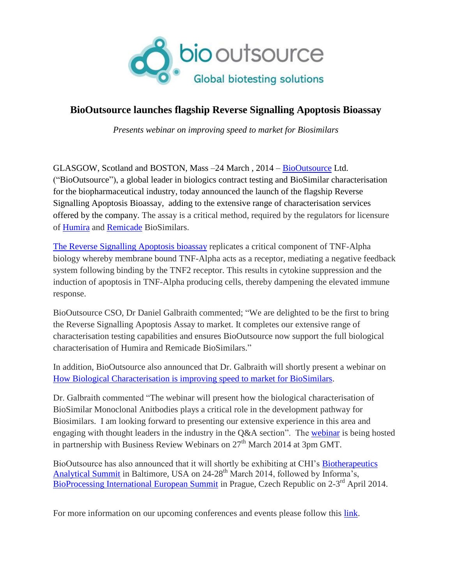

## **BioOutsource launches flagship Reverse Signalling Apoptosis Bioassay**

*Presents webinar on improving speed to market for Biosimilars*

GLASGOW, Scotland and BOSTON, Mass –24 March , 2014 – [BioOutsource](http://www.biooutsource.com/) Ltd. ("BioOutsource"), a global leader in biologics contract testing and BioSimilar characterisation for the biopharmaceutical industry, today announced the launch of the flagship Reverse Signalling Apoptosis Bioassay, adding to the extensive range of characterisation services offered by the company. The assay is a critical method, required by the regulators for licensure of [Humira](http://www.biooutsource.com/biosimilars/humira_adalimumab/) and [Remicade](http://www.biooutsource.com/biosimilars/remicade_infliximab/) BioSimilars.

[The Reverse Signalling Apoptosis bioassay](http://www.biooutsource.com/biosimilars/humira_adalimumab/humira_bioassays/humira_reverse_signalling_apoptosis_assay/) replicates a critical component of TNF-Alpha biology whereby membrane bound TNF-Alpha acts as a receptor, mediating a negative feedback system following binding by the TNF2 receptor. This results in cytokine suppression and the induction of apoptosis in TNF-Alpha producing cells, thereby dampening the elevated immune response.

BioOutsource CSO, Dr Daniel Galbraith commented; "We are delighted to be the first to bring the Reverse Signalling Apoptosis Assay to market. It completes our extensive range of characterisation testing capabilities and ensures BioOutsource now support the full biological characterisation of Humira and Remicade BioSimilars."

In addition, BioOutsource also announced that Dr. Galbraith will shortly present a webinar on [How Biological Characterisation is improving speed to market for BioSimilars.](http://www.business-review-webinars.com/webinar/Pharma/How_is_Biological_Characterisation_improving_speed_to_market_for_Biosimilars-X3cMwYTH?utm_source=SP&utm_medium=IU&utm_campaign=BO1)

Dr. Galbraith commented "The webinar will present how the biological characterisation of BioSimilar Monoclonal Anitbodies plays a critical role in the development pathway for Biosimilars. I am looking forward to presenting our extensive experience in this area and engaging with thought leaders in the industry in the Q&A section". The [webinar](http://www.business-review-webinars.com/webinar/Pharma/How_is_Biological_Characterisation_improving_speed_to_market_for_Biosimilars-X3cMwYTH?utm_source=SP&utm_medium=IU&utm_campaign=BO1) is being hosted in partnership with Business Review Webinars on  $27<sup>th</sup>$  March 2014 at 3pm GMT.

BioOutsource has also announced that it will shortly be exhibiting at CHI's [Biotherapeutics](http://www.biotherapeuticsanalyticalsummit.com/)  [Analytical Summit](http://www.biotherapeuticsanalyticalsummit.com/) in Baltimore, USA on  $24-28$ <sup>th</sup> March 2014, followed by Informa's, [BioProcessing International European Summit](http://www.informa-ls.com/event/Bpi2014/sponsorship-exhibiting#biooutsource) in Prague, Czech Republic on 2-3<sup>rd</sup> April 2014.

For more information on our upcoming conferences and events please follow this [link.](http://www.biooutsource.com/news_events/upcoming_events/)